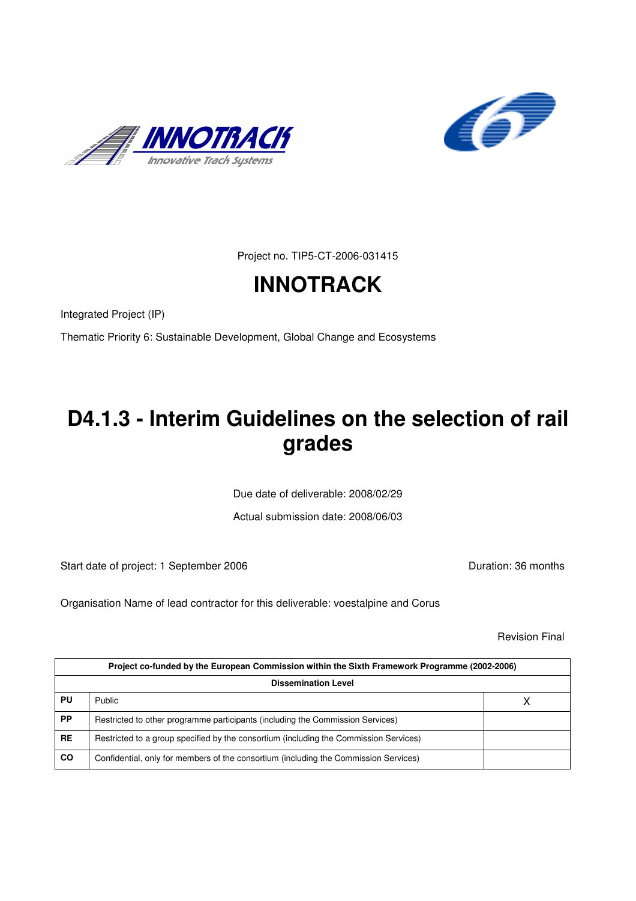



Project no. TIP5-CT-2006-031415

# **INNOTRACK**

Integrated Project (IP)

Thematic Priority 6: Sustainable Development, Global Change and Ecosystems

## **D4.1.3 - Interim Guidelines on the selection of rail grades**

Due date of deliverable: 2008/02/29

Actual submission date: 2008/06/03

Start date of project: 1 September 2006 **Duration: 36 months** 

Organisation Name of lead contractor for this deliverable: voestalpine and Corus

Revision Final

|           | Project co-funded by the European Commission within the Sixth Framework Programme (2002-2006) |  |  |  |  |  |  |  |
|-----------|-----------------------------------------------------------------------------------------------|--|--|--|--|--|--|--|
|           | <b>Dissemination Level</b>                                                                    |  |  |  |  |  |  |  |
| PU        | Public                                                                                        |  |  |  |  |  |  |  |
| <b>PP</b> | Restricted to other programme participants (including the Commission Services)                |  |  |  |  |  |  |  |
| RE        | Restricted to a group specified by the consortium (including the Commission Services)         |  |  |  |  |  |  |  |
| <b>CO</b> | Confidential, only for members of the consortium (including the Commission Services)          |  |  |  |  |  |  |  |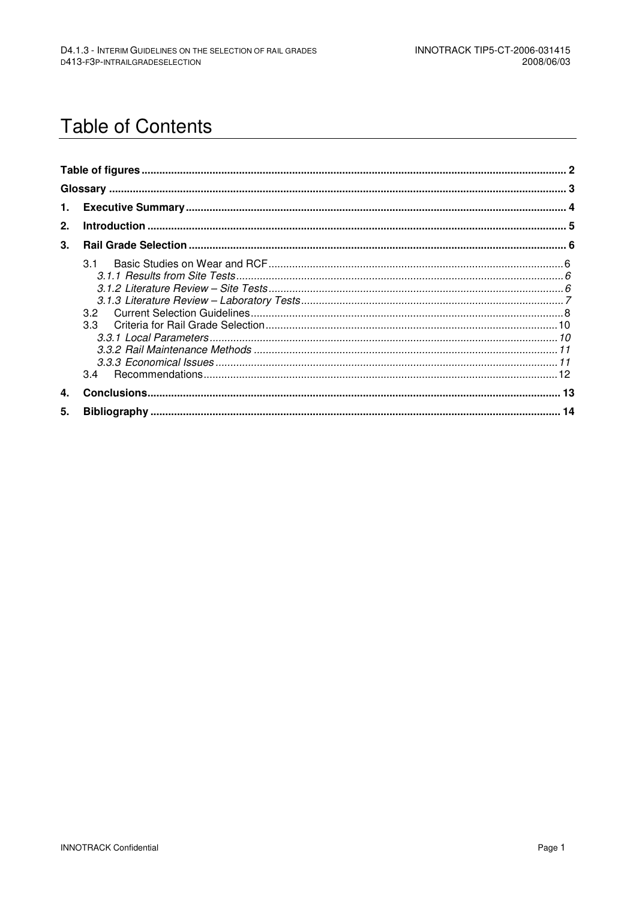## **Table of Contents**

| 1. |     |  |
|----|-----|--|
| 2. |     |  |
| 3. |     |  |
|    | 3.1 |  |
| 4. |     |  |
| 5. |     |  |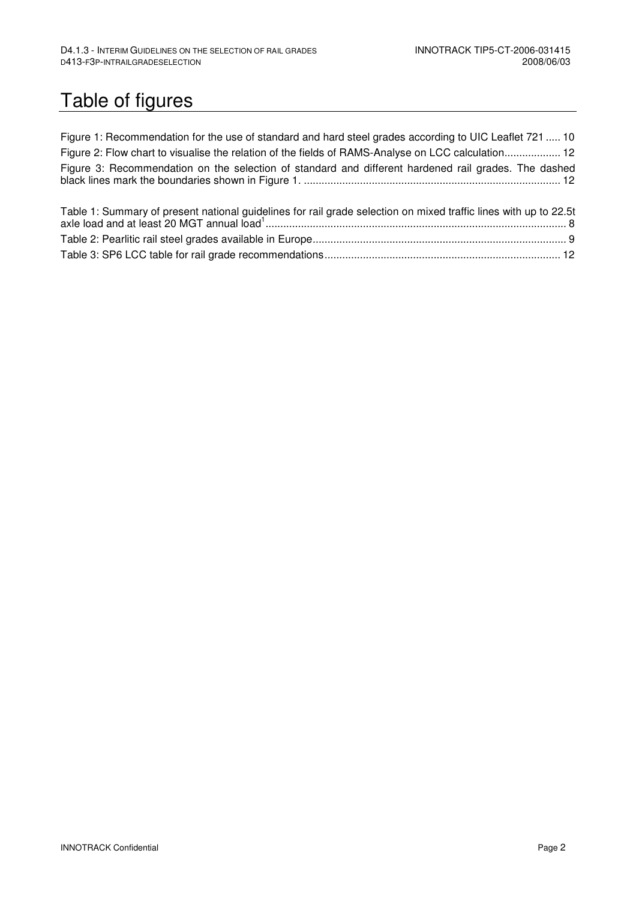# Table of figures

| Figure 1: Recommendation for the use of standard and hard steel grades according to UIC Leaflet 721  10 |
|---------------------------------------------------------------------------------------------------------|
| Figure 2: Flow chart to visualise the relation of the fields of RAMS-Analyse on LCC calculation 12      |
| Figure 3: Recommendation on the selection of standard and different hardened rail grades. The dashed    |

| Table 1: Summary of present national guidelines for rail grade selection on mixed traffic lines with up to 22.5t |  |
|------------------------------------------------------------------------------------------------------------------|--|
|                                                                                                                  |  |
|                                                                                                                  |  |
|                                                                                                                  |  |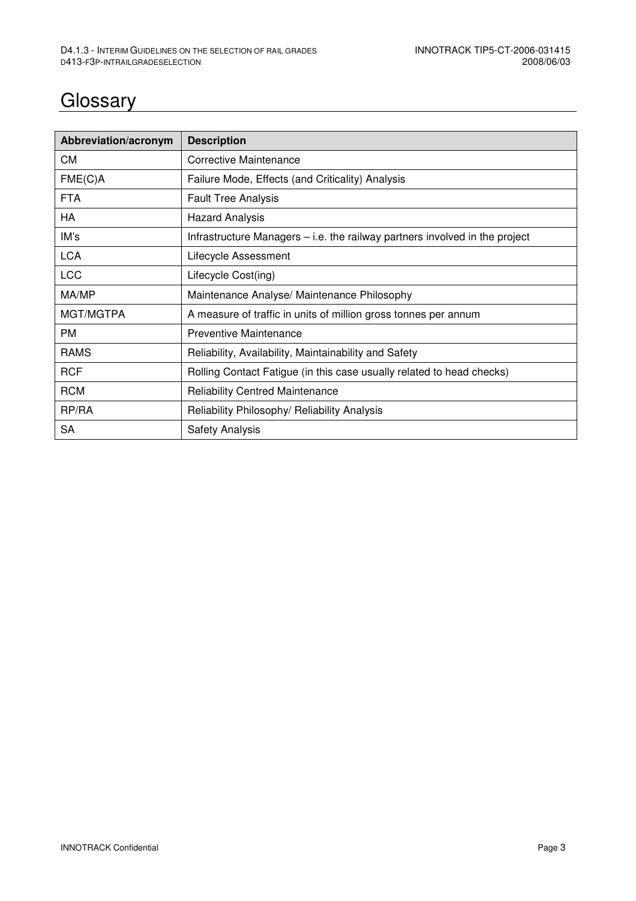## **Glossary**

| Abbreviation/acronym | <b>Description</b>                                                          |
|----------------------|-----------------------------------------------------------------------------|
| СM                   | Corrective Maintenance                                                      |
| FME(C)A              | Failure Mode, Effects (and Criticality) Analysis                            |
| <b>FTA</b>           | <b>Fault Tree Analysis</b>                                                  |
| HA                   | <b>Hazard Analysis</b>                                                      |
| IM's                 | Infrastructure Managers – i.e. the railway partners involved in the project |
| <b>LCA</b>           | Lifecycle Assessment                                                        |
| <b>LCC</b>           | Lifecycle Cost(ing)                                                         |
| MA/MP                | Maintenance Analyse/ Maintenance Philosophy                                 |
| MGT/MGTPA            | A measure of traffic in units of million gross tonnes per annum             |
| <b>PM</b>            | Preventive Maintenance                                                      |
| <b>RAMS</b>          | Reliability, Availability, Maintainability and Safety                       |
| <b>RCF</b>           | Rolling Contact Fatigue (in this case usually related to head checks)       |
| <b>RCM</b>           | <b>Reliability Centred Maintenance</b>                                      |
| RP/RA                | Reliability Philosophy/ Reliability Analysis                                |
| <b>SA</b>            | <b>Safety Analysis</b>                                                      |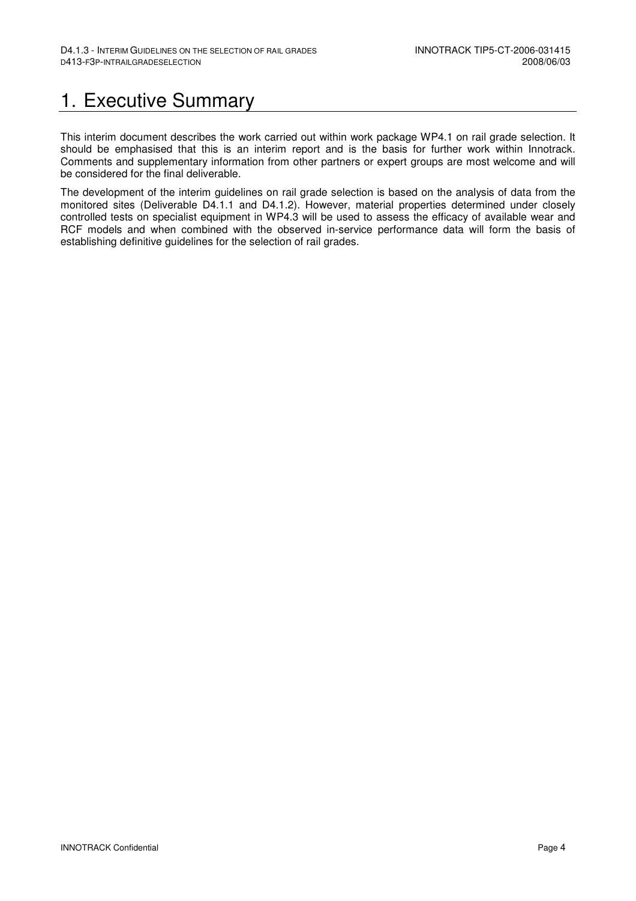## 1. Executive Summary

This interim document describes the work carried out within work package WP4.1 on rail grade selection. It should be emphasised that this is an interim report and is the basis for further work within Innotrack. Comments and supplementary information from other partners or expert groups are most welcome and will be considered for the final deliverable.

The development of the interim guidelines on rail grade selection is based on the analysis of data from the monitored sites (Deliverable D4.1.1 and D4.1.2). However, material properties determined under closely controlled tests on specialist equipment in WP4.3 will be used to assess the efficacy of available wear and RCF models and when combined with the observed in-service performance data will form the basis of establishing definitive guidelines for the selection of rail grades.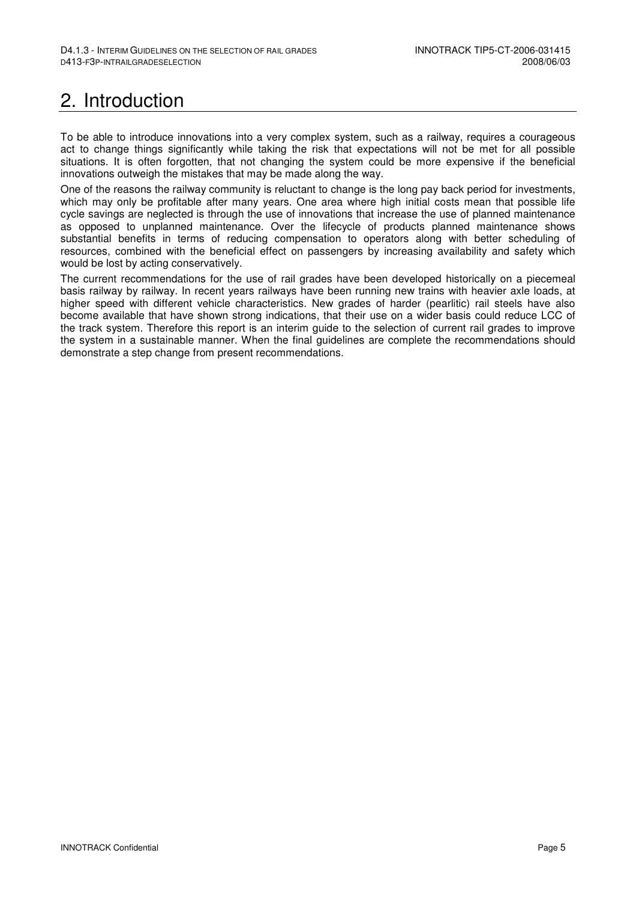## 2. Introduction

To be able to introduce innovations into a very complex system, such as a railway, requires a courageous act to change things significantly while taking the risk that expectations will not be met for all possible situations. It is often forgotten, that not changing the system could be more expensive if the beneficial innovations outweigh the mistakes that may be made along the way.

One of the reasons the railway community is reluctant to change is the long pay back period for investments, which may only be profitable after many years. One area where high initial costs mean that possible life cycle savings are neglected is through the use of innovations that increase the use of planned maintenance as opposed to unplanned maintenance. Over the lifecycle of products planned maintenance shows substantial benefits in terms of reducing compensation to operators along with better scheduling of resources, combined with the beneficial effect on passengers by increasing availability and safety which would be lost by acting conservatively.

The current recommendations for the use of rail grades have been developed historically on a piecemeal basis railway by railway. In recent years railways have been running new trains with heavier axle loads, at higher speed with different vehicle characteristics. New grades of harder (pearlitic) rail steels have also become available that have shown strong indications, that their use on a wider basis could reduce LCC of the track system. Therefore this report is an interim guide to the selection of current rail grades to improve the system in a sustainable manner. When the final guidelines are complete the recommendations should demonstrate a step change from present recommendations.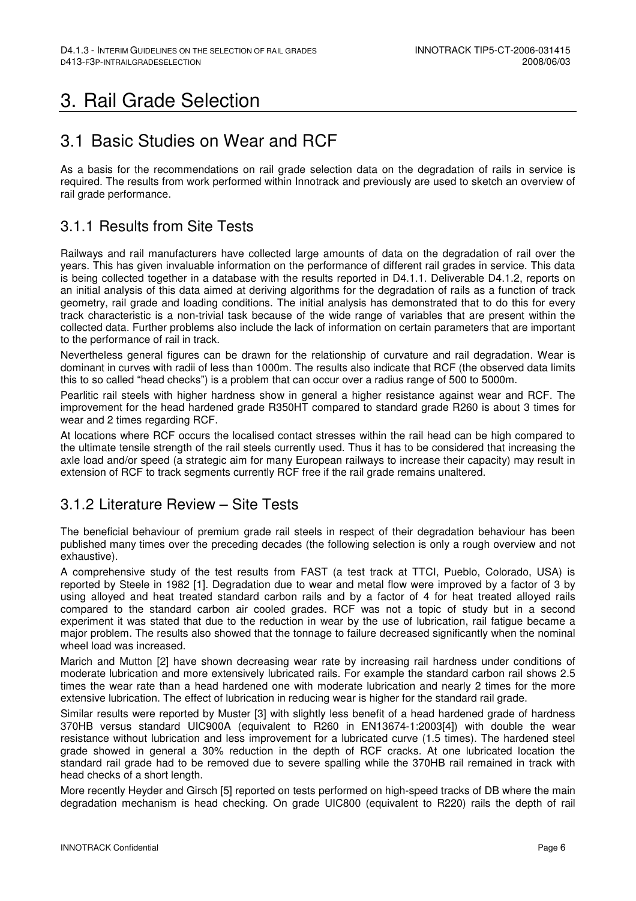## 3. Rail Grade Selection

### 3.1 Basic Studies on Wear and RCF

As a basis for the recommendations on rail grade selection data on the degradation of rails in service is required. The results from work performed within Innotrack and previously are used to sketch an overview of rail grade performance.

### 3.1.1 Results from Site Tests

Railways and rail manufacturers have collected large amounts of data on the degradation of rail over the years. This has given invaluable information on the performance of different rail grades in service. This data is being collected together in a database with the results reported in D4.1.1. Deliverable D4.1.2, reports on an initial analysis of this data aimed at deriving algorithms for the degradation of rails as a function of track geometry, rail grade and loading conditions. The initial analysis has demonstrated that to do this for every track characteristic is a non-trivial task because of the wide range of variables that are present within the collected data. Further problems also include the lack of information on certain parameters that are important to the performance of rail in track.

Nevertheless general figures can be drawn for the relationship of curvature and rail degradation. Wear is dominant in curves with radii of less than 1000m. The results also indicate that RCF (the observed data limits this to so called "head checks") is a problem that can occur over a radius range of 500 to 5000m.

Pearlitic rail steels with higher hardness show in general a higher resistance against wear and RCF. The improvement for the head hardened grade R350HT compared to standard grade R260 is about 3 times for wear and 2 times regarding RCF.

At locations where RCF occurs the localised contact stresses within the rail head can be high compared to the ultimate tensile strength of the rail steels currently used. Thus it has to be considered that increasing the axle load and/or speed (a strategic aim for many European railways to increase their capacity) may result in extension of RCF to track segments currently RCF free if the rail grade remains unaltered.

### 3.1.2 Literature Review – Site Tests

The beneficial behaviour of premium grade rail steels in respect of their degradation behaviour has been published many times over the preceding decades (the following selection is only a rough overview and not exhaustive).

A comprehensive study of the test results from FAST (a test track at TTCI, Pueblo, Colorado, USA) is reported by Steele in 1982 [1]. Degradation due to wear and metal flow were improved by a factor of 3 by using alloyed and heat treated standard carbon rails and by a factor of 4 for heat treated alloyed rails compared to the standard carbon air cooled grades. RCF was not a topic of study but in a second experiment it was stated that due to the reduction in wear by the use of lubrication, rail fatigue became a major problem. The results also showed that the tonnage to failure decreased significantly when the nominal wheel load was increased.

Marich and Mutton [2] have shown decreasing wear rate by increasing rail hardness under conditions of moderate lubrication and more extensively lubricated rails. For example the standard carbon rail shows 2.5 times the wear rate than a head hardened one with moderate lubrication and nearly 2 times for the more extensive lubrication. The effect of lubrication in reducing wear is higher for the standard rail grade.

Similar results were reported by Muster [3] with slightly less benefit of a head hardened grade of hardness 370HB versus standard UIC900A (equivalent to R260 in EN13674-1:2003[4]) with double the wear resistance without lubrication and less improvement for a lubricated curve (1.5 times). The hardened steel grade showed in general a 30% reduction in the depth of RCF cracks. At one lubricated location the standard rail grade had to be removed due to severe spalling while the 370HB rail remained in track with head checks of a short length.

More recently Heyder and Girsch [5] reported on tests performed on high-speed tracks of DB where the main degradation mechanism is head checking. On grade UIC800 (equivalent to R220) rails the depth of rail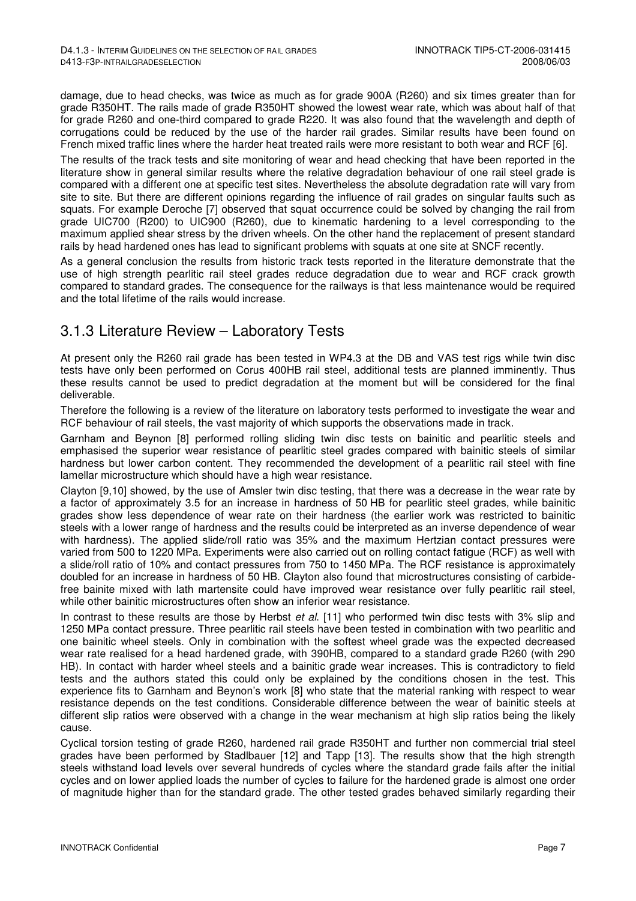damage, due to head checks, was twice as much as for grade 900A (R260) and six times greater than for grade R350HT. The rails made of grade R350HT showed the lowest wear rate, which was about half of that for grade R260 and one-third compared to grade R220. It was also found that the wavelength and depth of corrugations could be reduced by the use of the harder rail grades. Similar results have been found on French mixed traffic lines where the harder heat treated rails were more resistant to both wear and RCF [6].

The results of the track tests and site monitoring of wear and head checking that have been reported in the literature show in general similar results where the relative degradation behaviour of one rail steel grade is compared with a different one at specific test sites. Nevertheless the absolute degradation rate will vary from site to site. But there are different opinions regarding the influence of rail grades on singular faults such as squats. For example Deroche [7] observed that squat occurrence could be solved by changing the rail from grade UIC700 (R200) to UIC900 (R260), due to kinematic hardening to a level corresponding to the maximum applied shear stress by the driven wheels. On the other hand the replacement of present standard rails by head hardened ones has lead to significant problems with squats at one site at SNCF recently.

As a general conclusion the results from historic track tests reported in the literature demonstrate that the use of high strength pearlitic rail steel grades reduce degradation due to wear and RCF crack growth compared to standard grades. The consequence for the railways is that less maintenance would be required and the total lifetime of the rails would increase.

### 3.1.3 Literature Review – Laboratory Tests

At present only the R260 rail grade has been tested in WP4.3 at the DB and VAS test rigs while twin disc tests have only been performed on Corus 400HB rail steel, additional tests are planned imminently. Thus these results cannot be used to predict degradation at the moment but will be considered for the final deliverable.

Therefore the following is a review of the literature on laboratory tests performed to investigate the wear and RCF behaviour of rail steels, the vast majority of which supports the observations made in track.

Garnham and Beynon [8] performed rolling sliding twin disc tests on bainitic and pearlitic steels and emphasised the superior wear resistance of pearlitic steel grades compared with bainitic steels of similar hardness but lower carbon content. They recommended the development of a pearlitic rail steel with fine lamellar microstructure which should have a high wear resistance.

Clayton [9,10] showed, by the use of Amsler twin disc testing, that there was a decrease in the wear rate by a factor of approximately 3.5 for an increase in hardness of 50 HB for pearlitic steel grades, while bainitic grades show less dependence of wear rate on their hardness (the earlier work was restricted to bainitic steels with a lower range of hardness and the results could be interpreted as an inverse dependence of wear with hardness). The applied slide/roll ratio was 35% and the maximum Hertzian contact pressures were varied from 500 to 1220 MPa. Experiments were also carried out on rolling contact fatigue (RCF) as well with a slide/roll ratio of 10% and contact pressures from 750 to 1450 MPa. The RCF resistance is approximately doubled for an increase in hardness of 50 HB. Clayton also found that microstructures consisting of carbidefree bainite mixed with lath martensite could have improved wear resistance over fully pearlitic rail steel, while other bainitic microstructures often show an inferior wear resistance.

In contrast to these results are those by Herbst et al. [11] who performed twin disc tests with 3% slip and 1250 MPa contact pressure. Three pearlitic rail steels have been tested in combination with two pearlitic and one bainitic wheel steels. Only in combination with the softest wheel grade was the expected decreased wear rate realised for a head hardened grade, with 390HB, compared to a standard grade R260 (with 290 HB). In contact with harder wheel steels and a bainitic grade wear increases. This is contradictory to field tests and the authors stated this could only be explained by the conditions chosen in the test. This experience fits to Garnham and Beynon's work [8] who state that the material ranking with respect to wear resistance depends on the test conditions. Considerable difference between the wear of bainitic steels at different slip ratios were observed with a change in the wear mechanism at high slip ratios being the likely cause.

Cyclical torsion testing of grade R260, hardened rail grade R350HT and further non commercial trial steel grades have been performed by Stadlbauer [12] and Tapp [13]. The results show that the high strength steels withstand load levels over several hundreds of cycles where the standard grade fails after the initial cycles and on lower applied loads the number of cycles to failure for the hardened grade is almost one order of magnitude higher than for the standard grade. The other tested grades behaved similarly regarding their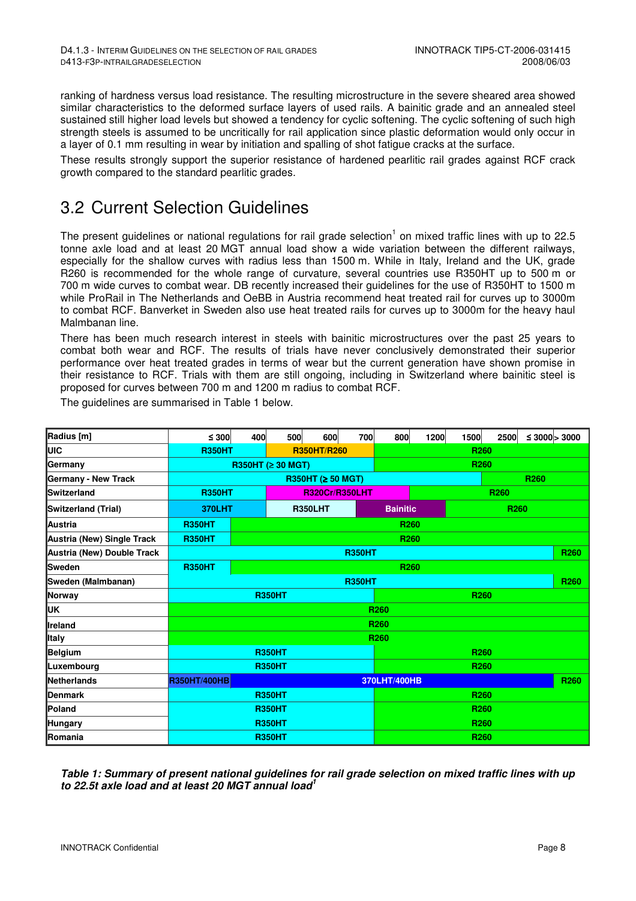ranking of hardness versus load resistance. The resulting microstructure in the severe sheared area showed similar characteristics to the deformed surface layers of used rails. A bainitic grade and an annealed steel sustained still higher load levels but showed a tendency for cyclic softening. The cyclic softening of such high strength steels is assumed to be uncritically for rail application since plastic deformation would only occur in a layer of 0.1 mm resulting in wear by initiation and spalling of shot fatigue cracks at the surface.

These results strongly support the superior resistance of hardened pearlitic rail grades against RCF crack growth compared to the standard pearlitic grades.

## 3.2 Current Selection Guidelines

The present guidelines or national regulations for rail grade selection<sup>1</sup> on mixed traffic lines with up to 22.5 tonne axle load and at least 20 MGT annual load show a wide variation between the different railways, especially for the shallow curves with radius less than 1500 m. While in Italy, Ireland and the UK, grade R260 is recommended for the whole range of curvature, several countries use R350HT up to 500 m or 700 m wide curves to combat wear. DB recently increased their guidelines for the use of R350HT to 1500 m while ProRail in The Netherlands and OeBB in Austria recommend heat treated rail for curves up to 3000m to combat RCF. Banverket in Sweden also use heat treated rails for curves up to 3000m for the heavy haul Malmbanan line.

There has been much research interest in steels with bainitic microstructures over the past 25 years to combat both wear and RCF. The results of trials have never conclusively demonstrated their superior performance over heat treated grades in terms of wear but the current generation have shown promise in their resistance to RCF. Trials with them are still ongoing, including in Switzerland where bainitic steel is proposed for curves between 700 m and 1200 m radius to combat RCF.

| Radius [m]                 | $\leq 300$                             | 400                              | 500           | 600               | 700  | 800                                 | 1200             | 1500             | 2500 |                  | ≤ 3000 > 3000    |
|----------------------------|----------------------------------------|----------------------------------|---------------|-------------------|------|-------------------------------------|------------------|------------------|------|------------------|------------------|
| UIC                        | <b>R350HT</b>                          | <b>R350HT/R260</b>               |               |                   |      | R <sub>260</sub>                    |                  |                  |      |                  |                  |
| Germany                    |                                        | R350HT ( $\geq$ 30 MGT)          |               |                   |      |                                     |                  | R <sub>260</sub> |      |                  |                  |
| Germany - New Track        |                                        |                                  |               | R350HT (≥ 50 MGT) |      |                                     |                  |                  |      | R <sub>260</sub> |                  |
| <b>Switzerland</b>         | <b>R350HT</b><br><b>R320Cr/R350LHT</b> |                                  |               |                   |      |                                     | R <sub>260</sub> |                  |      |                  |                  |
| Switzerland (Trial)        | <b>370LHT</b>                          | <b>R350LHT</b>                   |               |                   |      | <b>Bainitic</b><br>R <sub>260</sub> |                  |                  |      |                  |                  |
| Austria                    | <b>R350HT</b>                          |                                  |               |                   |      | R <sub>260</sub>                    |                  |                  |      |                  |                  |
| Austria (New) Single Track | <b>R350HT</b>                          | R <sub>260</sub>                 |               |                   |      |                                     |                  |                  |      |                  |                  |
| Austria (New) Double Track |                                        | <b>R350HT</b>                    |               |                   |      |                                     |                  |                  |      |                  | R <sub>260</sub> |
| Sweden                     | <b>R350HT</b><br>R260                  |                                  |               |                   |      |                                     |                  |                  |      |                  |                  |
| Sweden (Malmbanan)         | <b>R350HT</b>                          |                                  |               |                   |      |                                     |                  |                  |      | R <sub>260</sub> |                  |
| Norway                     |                                        | <b>R350HT</b>                    |               |                   |      | <b>R260</b>                         |                  |                  |      |                  |                  |
| UK                         | R <sub>260</sub>                       |                                  |               |                   |      |                                     |                  |                  |      |                  |                  |
| <b>Ireland</b>             | R <sub>260</sub>                       |                                  |               |                   |      |                                     |                  |                  |      |                  |                  |
| <b>Italy</b>               | R <sub>260</sub>                       |                                  |               |                   |      |                                     |                  |                  |      |                  |                  |
| Belgium                    | <b>R350HT</b>                          |                                  |               |                   |      | R260                                |                  |                  |      |                  |                  |
| Luxembourg                 | <b>R350HT</b>                          |                                  |               |                   |      | R260                                |                  |                  |      |                  |                  |
| Netherlands                | <b>R350HT/400HB</b>                    | 370LHT/400HB<br>R <sub>260</sub> |               |                   |      |                                     |                  |                  |      |                  |                  |
| Denmark                    | <b>R350HT</b>                          |                                  |               |                   | R260 |                                     |                  |                  |      |                  |                  |
| Poland                     |                                        |                                  | <b>R350HT</b> |                   |      |                                     | R <sub>260</sub> |                  |      |                  |                  |
| Hungary                    |                                        | R <sub>260</sub>                 |               |                   |      |                                     |                  |                  |      |                  |                  |
| Romania                    | <b>R350HT</b>                          |                                  |               |                   |      | R <sub>260</sub>                    |                  |                  |      |                  |                  |

The guidelines are summarised in Table 1 below.

**Table 1: Summary of present national guidelines for rail grade selection on mixed traffic lines with up to 22.5t axle load and at least 20 MGT annual load<sup>1</sup>**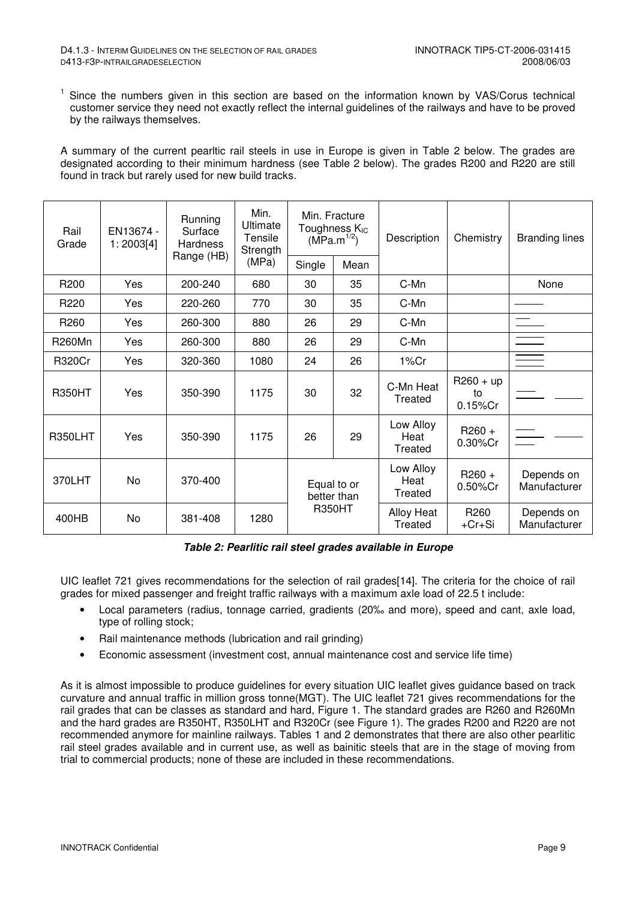<sup>1</sup> Since the numbers given in this section are based on the information known by VAS/Corus technical customer service they need not exactly reflect the internal guidelines of the railways and have to be proved by the railways themselves.

A summary of the current pearltic rail steels in use in Europe is given in Table 2 below. The grades are designated according to their minimum hardness (see Table 2 below). The grades R200 and R220 are still found in track but rarely used for new build tracks.

| Rail<br>Grade    | EN13674 -<br>1:2003[4] | Running<br>Surface<br>Hardness<br>Range (HB) | Min.<br>Ultimate<br>Tensile<br>Strength | Min. Fracture<br>Toughness K <sub>IC</sub><br>$(MPa.m^{1/2})$ |      | Description                  | Chemistry                        | <b>Branding lines</b>      |
|------------------|------------------------|----------------------------------------------|-----------------------------------------|---------------------------------------------------------------|------|------------------------------|----------------------------------|----------------------------|
|                  |                        |                                              | (MPa)                                   | Single                                                        | Mean |                              |                                  |                            |
| R <sub>200</sub> | Yes                    | 200-240                                      | 680                                     | 30                                                            | 35   | C-Mn                         |                                  | None                       |
| R <sub>220</sub> | Yes                    | 220-260                                      | 770                                     | 30                                                            | 35   | C-Mn                         |                                  |                            |
| R <sub>260</sub> | Yes                    | 260-300                                      | 880                                     | 26                                                            | 29   | C-Mn                         |                                  | $\equiv$                   |
| <b>R260Mn</b>    | Yes                    | 260-300                                      | 880                                     | 26                                                            | 29   | C-Mn                         |                                  | $\equiv$                   |
| <b>R320Cr</b>    | Yes                    | 320-360                                      | 1080                                    | 24                                                            | 26   | 1%Cr                         |                                  | $\equiv$                   |
| <b>R350HT</b>    | Yes                    | 350-390                                      | 1175                                    | 30                                                            | 32   | C-Mn Heat<br>Treated         | $R260 + up$<br>to<br>$0.15\%$ Cr |                            |
| R350LHT          | Yes                    | 350-390                                      | 1175                                    | 26                                                            | 29   | Low Alloy<br>Heat<br>Treated | $R260 +$<br>0.30%Cr              |                            |
| 370LHT           | <b>No</b>              | 370-400                                      |                                         | Equal to or<br>better than<br><b>R350HT</b>                   |      | Low Alloy<br>Heat<br>Treated | $R260 +$<br>0.50%Cr              | Depends on<br>Manufacturer |
| 400HB            | No                     | 381-408                                      | 1280                                    |                                                               |      | Alloy Heat<br>Treated        | R260<br>$+Cr+Si$                 | Depends on<br>Manufacturer |

#### **Table 2: Pearlitic rail steel grades available in Europe**

UIC leaflet 721 gives recommendations for the selection of rail grades[14]. The criteria for the choice of rail grades for mixed passenger and freight traffic railways with a maximum axle load of 22.5 t include:

- Local parameters (radius, tonnage carried, gradients (20‰ and more), speed and cant, axle load, type of rolling stock;
- Rail maintenance methods (lubrication and rail grinding)
- Economic assessment (investment cost, annual maintenance cost and service life time)

As it is almost impossible to produce guidelines for every situation UIC leaflet gives guidance based on track curvature and annual traffic in million gross tonne(MGT). The UIC leaflet 721 gives recommendations for the rail grades that can be classes as standard and hard, Figure 1. The standard grades are R260 and R260Mn and the hard grades are R350HT, R350LHT and R320Cr (see Figure 1). The grades R200 and R220 are not recommended anymore for mainline railways. Tables 1 and 2 demonstrates that there are also other pearlitic rail steel grades available and in current use, as well as bainitic steels that are in the stage of moving from trial to commercial products; none of these are included in these recommendations.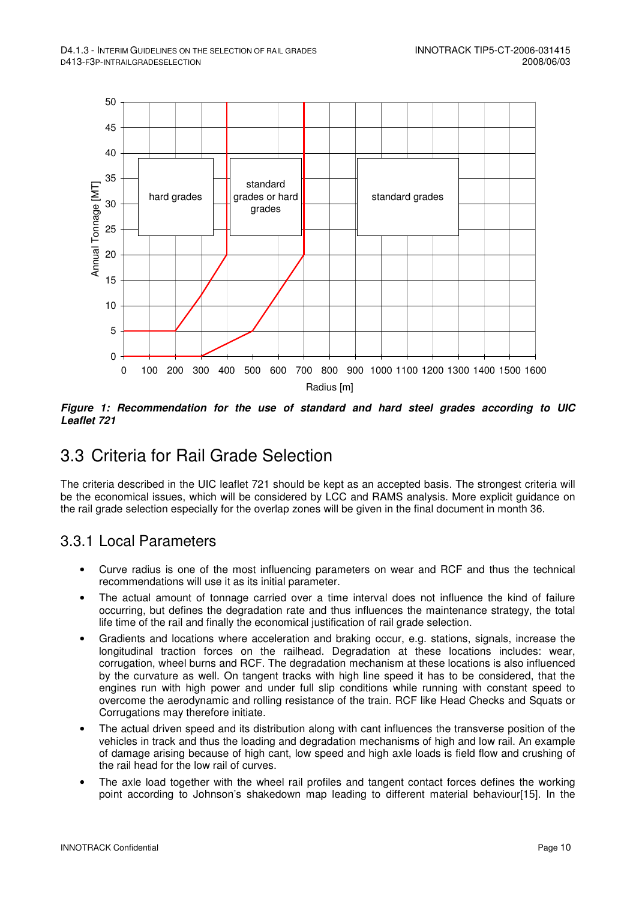

**Figure 1: Recommendation for the use of standard and hard steel grades according to UIC Leaflet 721** 

## 3.3 Criteria for Rail Grade Selection

The criteria described in the UIC leaflet 721 should be kept as an accepted basis. The strongest criteria will be the economical issues, which will be considered by LCC and RAMS analysis. More explicit guidance on the rail grade selection especially for the overlap zones will be given in the final document in month 36.

### 3.3.1 Local Parameters

- Curve radius is one of the most influencing parameters on wear and RCF and thus the technical recommendations will use it as its initial parameter.
- The actual amount of tonnage carried over a time interval does not influence the kind of failure occurring, but defines the degradation rate and thus influences the maintenance strategy, the total life time of the rail and finally the economical justification of rail grade selection.
- Gradients and locations where acceleration and braking occur, e.g. stations, signals, increase the longitudinal traction forces on the railhead. Degradation at these locations includes: wear, corrugation, wheel burns and RCF. The degradation mechanism at these locations is also influenced by the curvature as well. On tangent tracks with high line speed it has to be considered, that the engines run with high power and under full slip conditions while running with constant speed to overcome the aerodynamic and rolling resistance of the train. RCF like Head Checks and Squats or Corrugations may therefore initiate.
- The actual driven speed and its distribution along with cant influences the transverse position of the vehicles in track and thus the loading and degradation mechanisms of high and low rail. An example of damage arising because of high cant, low speed and high axle loads is field flow and crushing of the rail head for the low rail of curves.
- The axle load together with the wheel rail profiles and tangent contact forces defines the working point according to Johnson's shakedown map leading to different material behaviour[15]. In the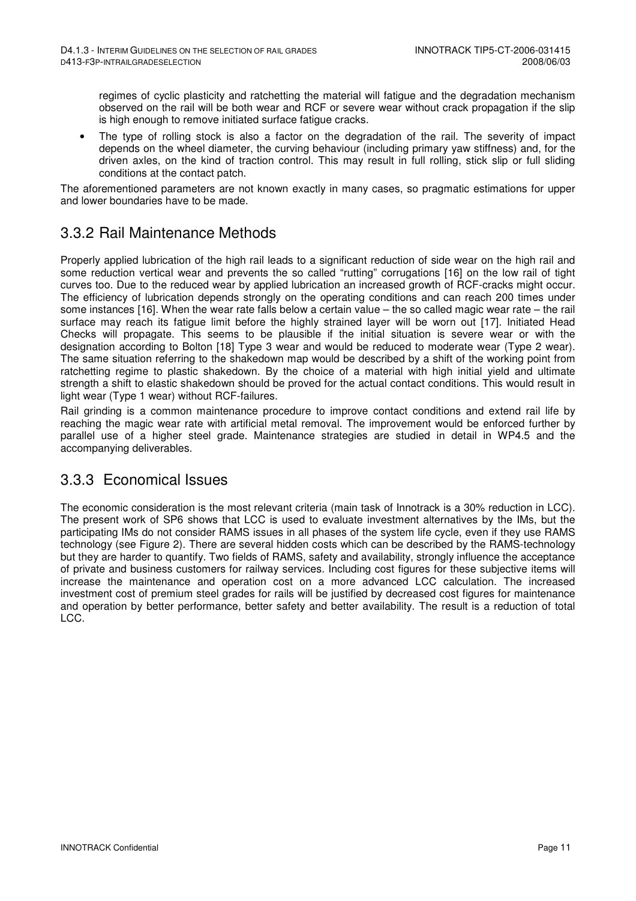regimes of cyclic plasticity and ratchetting the material will fatigue and the degradation mechanism observed on the rail will be both wear and RCF or severe wear without crack propagation if the slip is high enough to remove initiated surface fatigue cracks.

The type of rolling stock is also a factor on the degradation of the rail. The severity of impact depends on the wheel diameter, the curving behaviour (including primary yaw stiffness) and, for the driven axles, on the kind of traction control. This may result in full rolling, stick slip or full sliding conditions at the contact patch.

The aforementioned parameters are not known exactly in many cases, so pragmatic estimations for upper and lower boundaries have to be made.

### 3.3.2 Rail Maintenance Methods

Properly applied lubrication of the high rail leads to a significant reduction of side wear on the high rail and some reduction vertical wear and prevents the so called "rutting" corrugations [16] on the low rail of tight curves too. Due to the reduced wear by applied lubrication an increased growth of RCF-cracks might occur. The efficiency of lubrication depends strongly on the operating conditions and can reach 200 times under some instances [16]. When the wear rate falls below a certain value – the so called magic wear rate – the rail surface may reach its fatigue limit before the highly strained layer will be worn out [17]. Initiated Head Checks will propagate. This seems to be plausible if the initial situation is severe wear or with the designation according to Bolton [18] Type 3 wear and would be reduced to moderate wear (Type 2 wear). The same situation referring to the shakedown map would be described by a shift of the working point from ratchetting regime to plastic shakedown. By the choice of a material with high initial yield and ultimate strength a shift to elastic shakedown should be proved for the actual contact conditions. This would result in light wear (Type 1 wear) without RCF-failures.

Rail grinding is a common maintenance procedure to improve contact conditions and extend rail life by reaching the magic wear rate with artificial metal removal. The improvement would be enforced further by parallel use of a higher steel grade. Maintenance strategies are studied in detail in WP4.5 and the accompanying deliverables.

### 3.3.3 Economical Issues

The economic consideration is the most relevant criteria (main task of Innotrack is a 30% reduction in LCC). The present work of SP6 shows that LCC is used to evaluate investment alternatives by the IMs, but the participating IMs do not consider RAMS issues in all phases of the system life cycle, even if they use RAMS technology (see Figure 2). There are several hidden costs which can be described by the RAMS-technology but they are harder to quantify. Two fields of RAMS, safety and availability, strongly influence the acceptance of private and business customers for railway services. Including cost figures for these subjective items will increase the maintenance and operation cost on a more advanced LCC calculation. The increased investment cost of premium steel grades for rails will be justified by decreased cost figures for maintenance and operation by better performance, better safety and better availability. The result is a reduction of total LCC.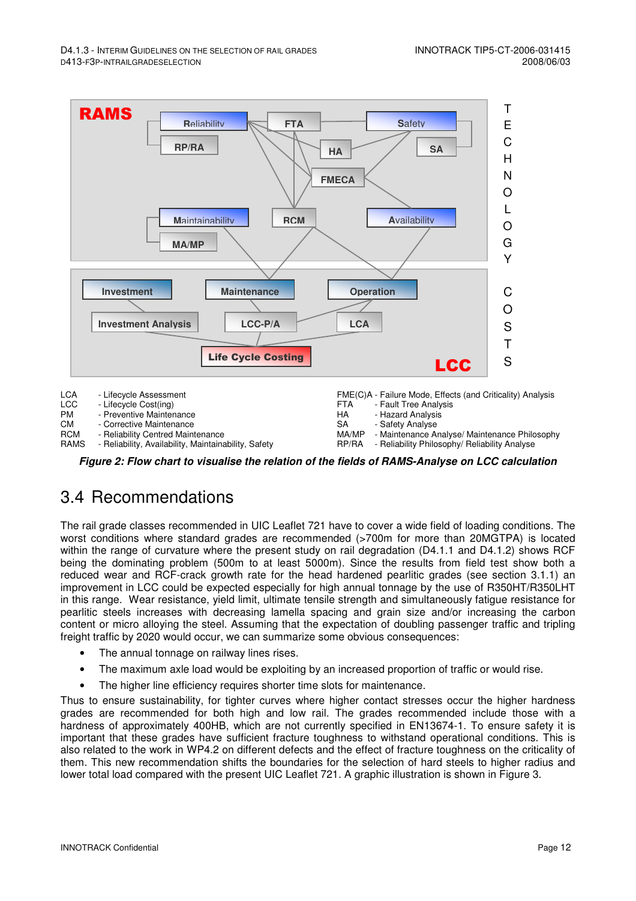- Reliability Philosophy/ Reliability Analyse



RCM - Reliability Centred Maintenance<br>RAMS - Reliability. Availability. Maintaina - Reliability, Availability, Maintainability, Safety

**Figure 2: Flow chart to visualise the relation of the fields of RAMS-Analyse on LCC calculation**

### 3.4 Recommendations

The rail grade classes recommended in UIC Leaflet 721 have to cover a wide field of loading conditions. The worst conditions where standard grades are recommended (>700m for more than 20MGTPA) is located within the range of curvature where the present study on rail degradation (D4.1.1 and D4.1.2) shows RCF being the dominating problem (500m to at least 5000m). Since the results from field test show both a reduced wear and RCF-crack growth rate for the head hardened pearlitic grades (see section 3.1.1) an improvement in LCC could be expected especially for high annual tonnage by the use of R350HT/R350LHT in this range. Wear resistance, yield limit, ultimate tensile strength and simultaneously fatigue resistance for pearlitic steels increases with decreasing lamella spacing and grain size and/or increasing the carbon content or micro alloying the steel. Assuming that the expectation of doubling passenger traffic and tripling freight traffic by 2020 would occur, we can summarize some obvious consequences:

- The annual tonnage on railway lines rises.
- The maximum axle load would be exploiting by an increased proportion of traffic or would rise.
- The higher line efficiency requires shorter time slots for maintenance.

Thus to ensure sustainability, for tighter curves where higher contact stresses occur the higher hardness grades are recommended for both high and low rail. The grades recommended include those with a hardness of approximately 400HB, which are not currently specified in EN13674-1. To ensure safety it is important that these grades have sufficient fracture toughness to withstand operational conditions. This is also related to the work in WP4.2 on different defects and the effect of fracture toughness on the criticality of them. This new recommendation shifts the boundaries for the selection of hard steels to higher radius and lower total load compared with the present UIC Leaflet 721. A graphic illustration is shown in Figure 3.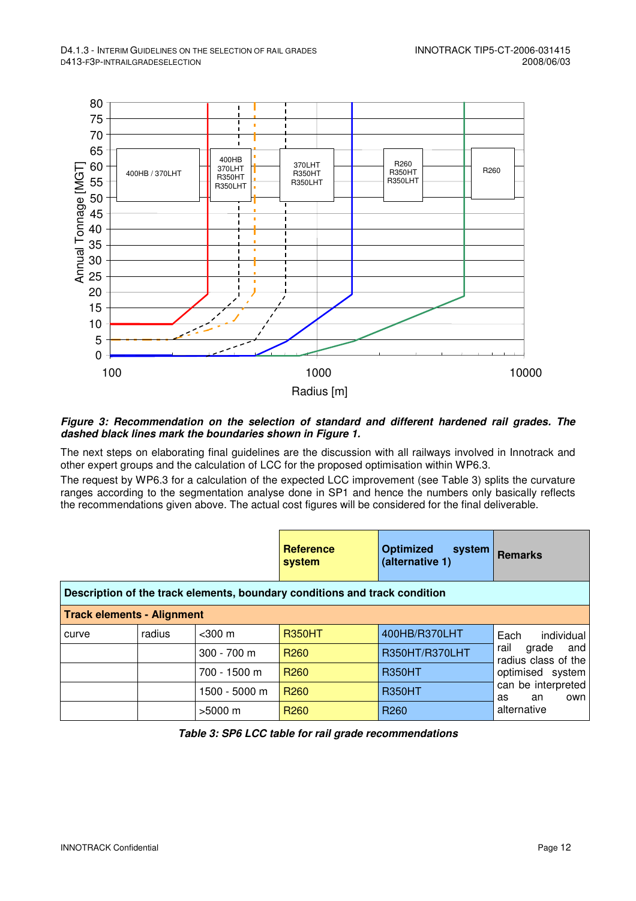

#### **Figure 3: Recommendation on the selection of standard and different hardened rail grades. The dashed black lines mark the boundaries shown in Figure 1.**

The next steps on elaborating final guidelines are the discussion with all railways involved in Innotrack and other expert groups and the calculation of LCC for the proposed optimisation within WP6.3.

The request by WP6.3 for a calculation of the expected LCC improvement (see Table 3) splits the curvature ranges according to the segmentation analyse done in SP1 and hence the numbers only basically reflects the recommendations given above. The actual cost figures will be considered for the final deliverable.

|                                                                            |        |               | <b>Reference</b><br>system | <b>Optimized</b><br>system<br>(alternative 1) | <b>Remarks</b>                              |  |  |  |  |  |
|----------------------------------------------------------------------------|--------|---------------|----------------------------|-----------------------------------------------|---------------------------------------------|--|--|--|--|--|
| Description of the track elements, boundary conditions and track condition |        |               |                            |                                               |                                             |  |  |  |  |  |
| <b>Track elements - Alignment</b>                                          |        |               |                            |                                               |                                             |  |  |  |  |  |
| curve                                                                      | radius | $<$ 300 $m$   | <b>R350HT</b>              | 400HB/R370LHT                                 | Each<br>individual                          |  |  |  |  |  |
|                                                                            |        | $300 - 700$ m | R <sub>260</sub>           | R350HT/R370LHT                                | rail<br>grade<br>and<br>radius class of the |  |  |  |  |  |
|                                                                            |        | 700 - 1500 m  | R <sub>260</sub>           | <b>R350HT</b>                                 | optimised system                            |  |  |  |  |  |
|                                                                            |        | 1500 - 5000 m | R <sub>260</sub>           | <b>R350HT</b>                                 | can be interpreted<br>own<br>as<br>an       |  |  |  |  |  |
|                                                                            |        | $>5000$ m     | R <sub>260</sub>           | R <sub>260</sub>                              | alternative                                 |  |  |  |  |  |

**Table 3: SP6 LCC table for rail grade recommendations**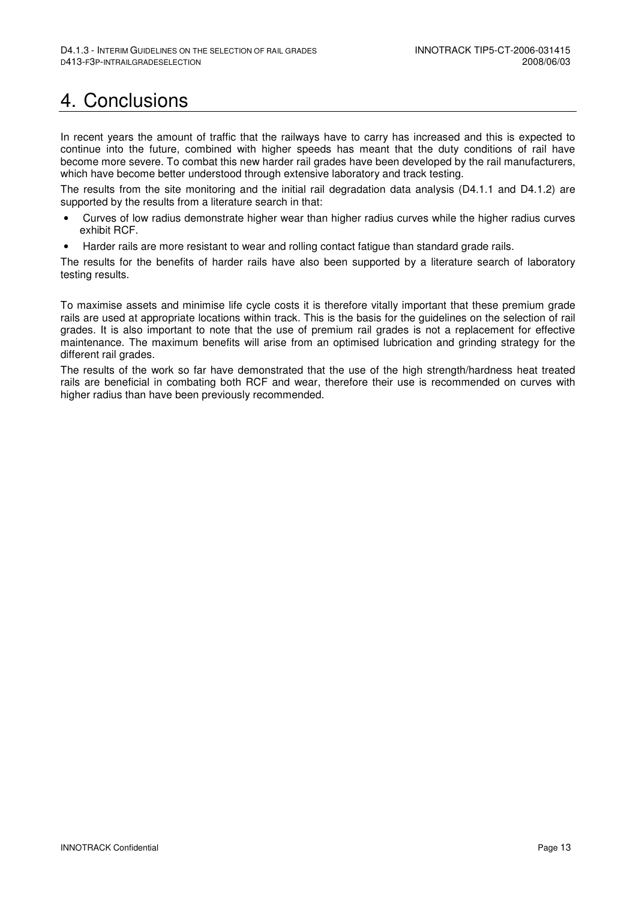## 4. Conclusions

In recent years the amount of traffic that the railways have to carry has increased and this is expected to continue into the future, combined with higher speeds has meant that the duty conditions of rail have become more severe. To combat this new harder rail grades have been developed by the rail manufacturers, which have become better understood through extensive laboratory and track testing.

The results from the site monitoring and the initial rail degradation data analysis (D4.1.1 and D4.1.2) are supported by the results from a literature search in that:

- Curves of low radius demonstrate higher wear than higher radius curves while the higher radius curves exhibit RCF.
- Harder rails are more resistant to wear and rolling contact fatigue than standard grade rails.

The results for the benefits of harder rails have also been supported by a literature search of laboratory testing results.

To maximise assets and minimise life cycle costs it is therefore vitally important that these premium grade rails are used at appropriate locations within track. This is the basis for the guidelines on the selection of rail grades. It is also important to note that the use of premium rail grades is not a replacement for effective maintenance. The maximum benefits will arise from an optimised lubrication and grinding strategy for the different rail grades.

The results of the work so far have demonstrated that the use of the high strength/hardness heat treated rails are beneficial in combating both RCF and wear, therefore their use is recommended on curves with higher radius than have been previously recommended.